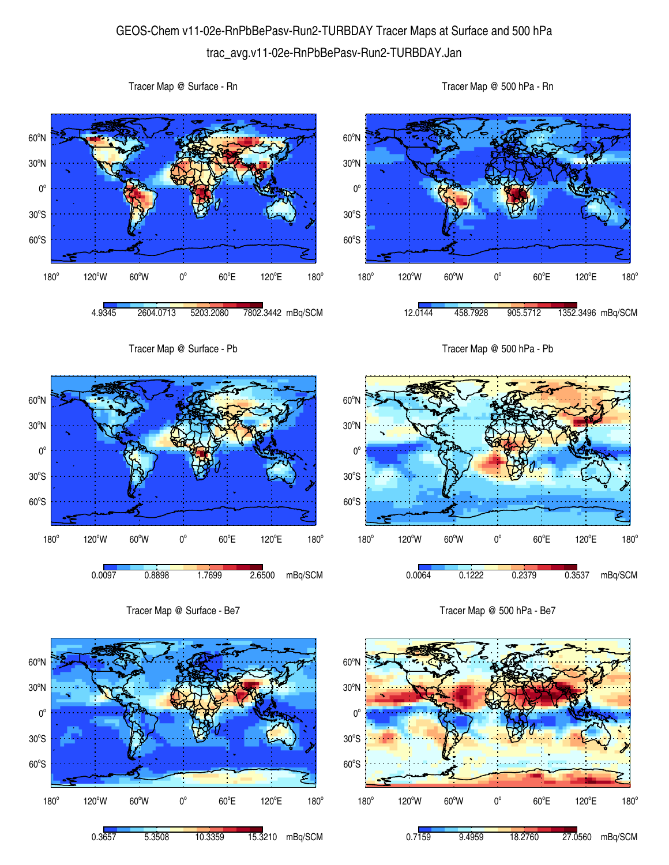## GEOS-Chem v11-02e-RnPbBePasv-Run2-TURBDAY Tracer Maps at Surface and 500 hPa trac\_avg.v11-02e-RnPbBePasv-Run2-TURBDAY.Jan